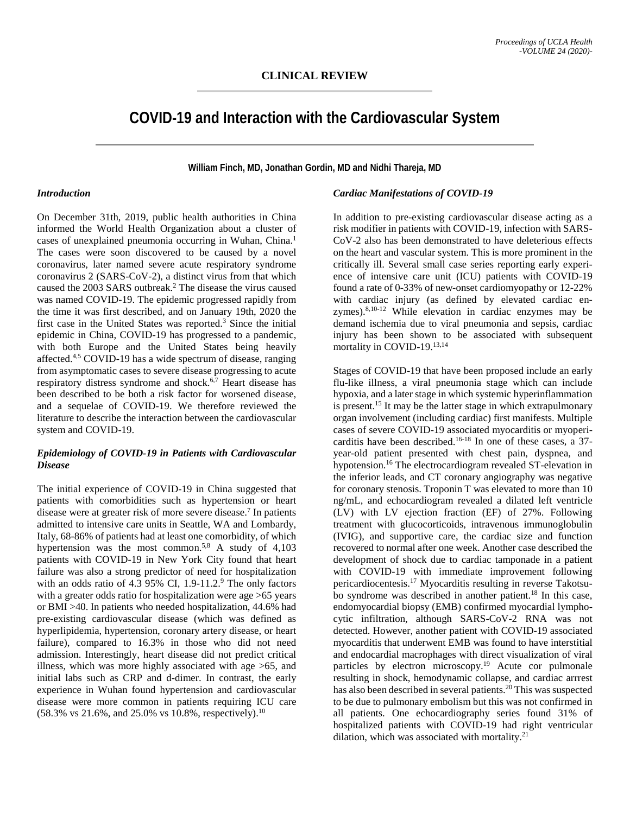# **COVID-19 and Interaction with the Cardiovascular System**

**William Finch, MD, Jonathan Gordin, MD and Nidhi Thareja, MD**

#### *Introduction*

On December 31th, 2019, public health authorities in China informed the World Health Organization about a cluster of cases of unexplained pneumonia occurring in Wuhan, China.1 The cases were soon discovered to be caused by a novel coronavirus, later named severe acute respiratory syndrome coronavirus 2 (SARS-CoV-2), a distinct virus from that which caused the 2003 SARS outbreak.2 The disease the virus caused was named COVID-19. The epidemic progressed rapidly from the time it was first described, and on January 19th, 2020 the first case in the United States was reported.<sup>3</sup> Since the initial epidemic in China, COVID-19 has progressed to a pandemic, with both Europe and the United States being heavily affected.4,5 COVID-19 has a wide spectrum of disease, ranging from asymptomatic cases to severe disease progressing to acute respiratory distress syndrome and shock. $6,7$  Heart disease has been described to be both a risk factor for worsened disease, and a sequelae of COVID-19. We therefore reviewed the literature to describe the interaction between the cardiovascular system and COVID-19.

#### *Epidemiology of COVID-19 in Patients with Cardiovascular Disease*

The initial experience of COVID-19 in China suggested that patients with comorbidities such as hypertension or heart disease were at greater risk of more severe disease.7 In patients admitted to intensive care units in Seattle, WA and Lombardy, Italy, 68-86% of patients had at least one comorbidity, of which hypertension was the most common.<sup>5,8</sup> A study of  $4,103$ patients with COVID-19 in New York City found that heart failure was also a strong predictor of need for hospitalization with an odds ratio of 4.3 95% CI,  $1.9-11.2$ <sup>9</sup> The only factors with a greater odds ratio for hospitalization were age >65 years or BMI >40. In patients who needed hospitalization, 44.6% had pre-existing cardiovascular disease (which was defined as hyperlipidemia, hypertension, coronary artery disease, or heart failure), compared to 16.3% in those who did not need admission. Interestingly, heart disease did not predict critical illness, which was more highly associated with age >65, and initial labs such as CRP and d-dimer. In contrast, the early experience in Wuhan found hypertension and cardiovascular disease were more common in patients requiring ICU care  $(58.3\% \text{ vs } 21.6\%, \text{ and } 25.0\% \text{ vs } 10.8\%, \text{ respectively})$ .<sup>10</sup>

# *Cardiac Manifestations of COVID-19*

In addition to pre-existing cardiovascular disease acting as a risk modifier in patients with COVID-19, infection with SARS-CoV-2 also has been demonstrated to have deleterious effects on the heart and vascular system. This is more prominent in the critically ill. Several small case series reporting early experience of intensive care unit (ICU) patients with COVID-19 found a rate of 0-33% of new-onset cardiomyopathy or 12-22% with cardiac injury (as defined by elevated cardiac enzymes).8,10-12 While elevation in cardiac enzymes may be demand ischemia due to viral pneumonia and sepsis, cardiac injury has been shown to be associated with subsequent mortality in COVID-19.13,14

Stages of COVID-19 that have been proposed include an early flu-like illness, a viral pneumonia stage which can include hypoxia, and a later stage in which systemic hyperinflammation is present.15 It may be the latter stage in which extrapulmonary organ involvement (including cardiac) first manifests. Multiple cases of severe COVID-19 associated myocarditis or myopericarditis have been described.<sup>16-18</sup> In one of these cases, a  $37$ year-old patient presented with chest pain, dyspnea, and hypotension.16 The electrocardiogram revealed ST-elevation in the inferior leads, and CT coronary angiography was negative for coronary stenosis. Troponin T was elevated to more than 10 ng/mL, and echocardiogram revealed a dilated left ventricle (LV) with LV ejection fraction (EF) of 27%. Following treatment with glucocorticoids, intravenous immunoglobulin (IVIG), and supportive care, the cardiac size and function recovered to normal after one week. Another case described the development of shock due to cardiac tamponade in a patient with COVID-19 with immediate improvement following pericardiocentesis.17 Myocarditis resulting in reverse Takotsubo syndrome was described in another patient.<sup>18</sup> In this case, endomyocardial biopsy (EMB) confirmed myocardial lymphocytic infiltration, although SARS-CoV-2 RNA was not detected. However, another patient with COVID-19 associated myocarditis that underwent EMB was found to have interstitial and endocardial macrophages with direct visualization of viral particles by electron microscopy.<sup>19</sup> Acute cor pulmonale resulting in shock, hemodynamic collapse, and cardiac arrrest has also been described in several patients.<sup>20</sup> This was suspected to be due to pulmonary embolism but this was not confirmed in all patients. One echocardiography series found 31% of hospitalized patients with COVID-19 had right ventricular dilation, which was associated with mortality.<sup>21</sup>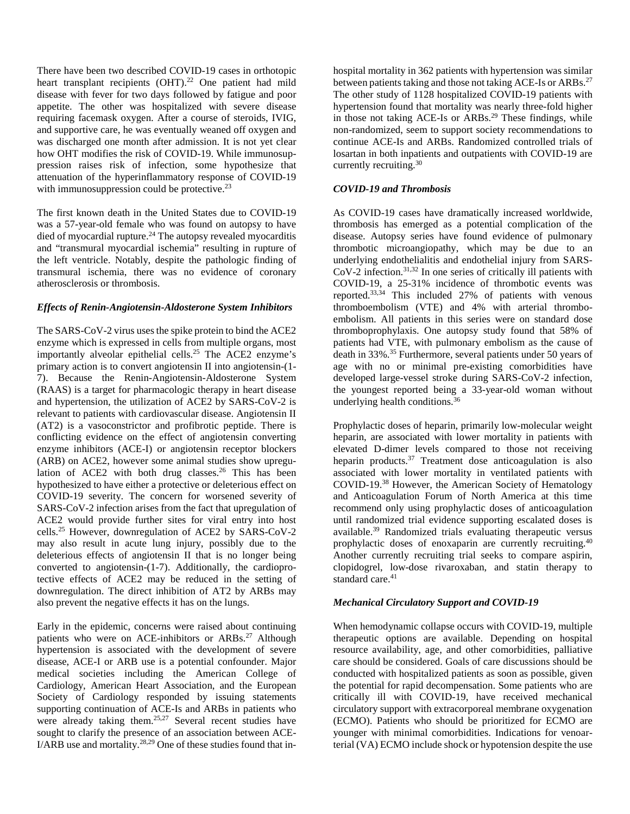There have been two described COVID-19 cases in orthotopic heart transplant recipients (OHT).<sup>22</sup> One patient had mild disease with fever for two days followed by fatigue and poor appetite. The other was hospitalized with severe disease requiring facemask oxygen. After a course of steroids, IVIG, and supportive care, he was eventually weaned off oxygen and was discharged one month after admission. It is not yet clear how OHT modifies the risk of COVID-19. While immunosuppression raises risk of infection, some hypothesize that attenuation of the hyperinflammatory response of COVID-19 with immunosuppression could be protective.<sup>23</sup>

The first known death in the United States due to COVID-19 was a 57-year-old female who was found on autopsy to have died of myocardial rupture.<sup>24</sup> The autopsy revealed myocarditis and "transmural myocardial ischemia" resulting in rupture of the left ventricle. Notably, despite the pathologic finding of transmural ischemia, there was no evidence of coronary atherosclerosis or thrombosis.

# *Effects of Renin-Angiotensin-Aldosterone System Inhibitors*

The SARS-CoV-2 virus uses the spike protein to bind the ACE2 enzyme which is expressed in cells from multiple organs, most importantly alveolar epithelial cells.25 The ACE2 enzyme's primary action is to convert angiotensin II into angiotensin-(1- 7). Because the Renin-Angiotensin-Aldosterone System (RAAS) is a target for pharmacologic therapy in heart disease and hypertension, the utilization of ACE2 by SARS-CoV-2 is relevant to patients with cardiovascular disease. Angiotensin II (AT2) is a vasoconstrictor and profibrotic peptide. There is conflicting evidence on the effect of angiotensin converting enzyme inhibitors (ACE-I) or angiotensin receptor blockers (ARB) on ACE2, however some animal studies show upregulation of ACE2 with both drug classes.<sup>26</sup> This has been hypothesized to have either a protective or deleterious effect on COVID-19 severity. The concern for worsened severity of SARS-CoV-2 infection arises from the fact that upregulation of ACE2 would provide further sites for viral entry into host cells.25 However, downregulation of ACE2 by SARS-CoV-2 may also result in acute lung injury, possibly due to the deleterious effects of angiotensin II that is no longer being converted to angiotensin-(1-7). Additionally, the cardioprotective effects of ACE2 may be reduced in the setting of downregulation. The direct inhibition of AT2 by ARBs may also prevent the negative effects it has on the lungs.

Early in the epidemic, concerns were raised about continuing patients who were on ACE-inhibitors or ARBs.<sup>27</sup> Although hypertension is associated with the development of severe disease, ACE-I or ARB use is a potential confounder. Major medical societies including the American College of Cardiology, American Heart Association, and the European Society of Cardiology responded by issuing statements supporting continuation of ACE-Is and ARBs in patients who were already taking them.<sup>25,27</sup> Several recent studies have sought to clarify the presence of an association between ACE-I/ARB use and mortality.28,29 One of these studies found that in-

hospital mortality in 362 patients with hypertension was similar between patients taking and those not taking ACE-Is or ARBs.<sup>27</sup> The other study of 1128 hospitalized COVID-19 patients with hypertension found that mortality was nearly three-fold higher in those not taking ACE-Is or ARBs.<sup>29</sup> These findings, while non-randomized, seem to support society recommendations to continue ACE-Is and ARBs. Randomized controlled trials of losartan in both inpatients and outpatients with COVID-19 are currently recruiting.<sup>30</sup>

# *COVID-19 and Thrombosis*

As COVID-19 cases have dramatically increased worldwide, thrombosis has emerged as a potential complication of the disease. Autopsy series have found evidence of pulmonary thrombotic microangiopathy, which may be due to an underlying endothelialitis and endothelial injury from SARS-CoV-2 infection.31,32 In one series of critically ill patients with COVID-19, a 25-31% incidence of thrombotic events was reported.<sup>33,34</sup> This included 27% of patients with venous thromboembolism (VTE) and 4% with arterial thromboembolism. All patients in this series were on standard dose thromboprophylaxis. One autopsy study found that 58% of patients had VTE, with pulmonary embolism as the cause of death in 33%.<sup>35</sup> Furthermore, several patients under 50 years of age with no or minimal pre-existing comorbidities have developed large-vessel stroke during SARS-CoV-2 infection, the youngest reported being a 33-year-old woman without underlying health conditions.36

Prophylactic doses of heparin, primarily low-molecular weight heparin, are associated with lower mortality in patients with elevated D-dimer levels compared to those not receiving heparin products.<sup>37</sup> Treatment dose anticoagulation is also associated with lower mortality in ventilated patients with COVID-19.38 However, the American Society of Hematology and Anticoagulation Forum of North America at this time recommend only using prophylactic doses of anticoagulation until randomized trial evidence supporting escalated doses is available.39 Randomized trials evaluating therapeutic versus prophylactic doses of enoxaparin are currently recruiting.<sup>40</sup> Another currently recruiting trial seeks to compare aspirin, clopidogrel, low-dose rivaroxaban, and statin therapy to standard care.<sup>41</sup>

#### *Mechanical Circulatory Support and COVID-19*

When hemodynamic collapse occurs with COVID-19, multiple therapeutic options are available. Depending on hospital resource availability, age, and other comorbidities, palliative care should be considered. Goals of care discussions should be conducted with hospitalized patients as soon as possible, given the potential for rapid decompensation. Some patients who are critically ill with COVID-19, have received mechanical circulatory support with extracorporeal membrane oxygenation (ECMO). Patients who should be prioritized for ECMO are younger with minimal comorbidities. Indications for venoarterial (VA) ECMO include shock or hypotension despite the use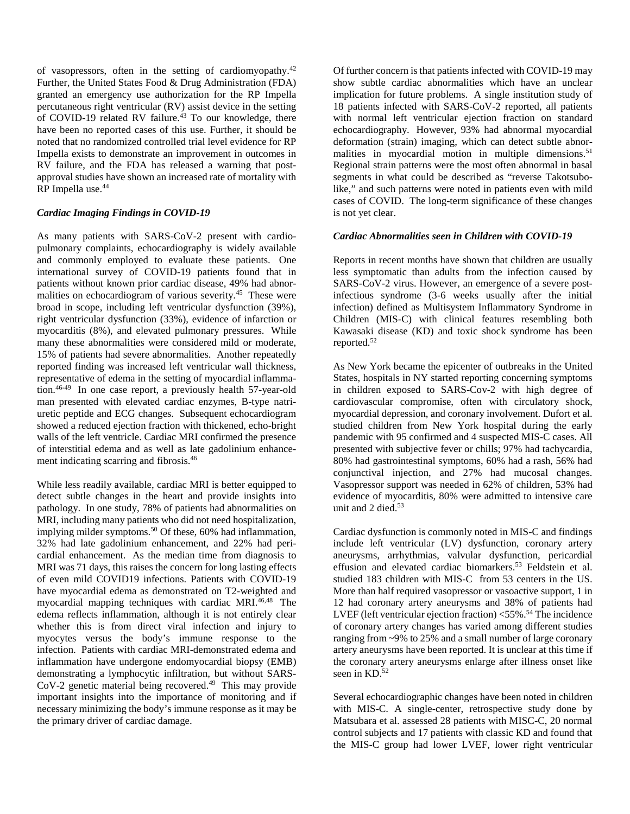of vasopressors, often in the setting of cardiomyopathy.<sup>42</sup> Further, the United States Food & Drug Administration (FDA) granted an emergency use authorization for the RP Impella percutaneous right ventricular (RV) assist device in the setting of COVID-19 related RV failure.<sup>43</sup> To our knowledge, there have been no reported cases of this use. Further, it should be noted that no randomized controlled trial level evidence for RP Impella exists to demonstrate an improvement in outcomes in RV failure, and the FDA has released a warning that postapproval studies have shown an increased rate of mortality with RP Impella use. 44

# *Cardiac Imaging Findings in COVID-19*

As many patients with SARS-CoV-2 present with cardiopulmonary complaints, echocardiography is widely available and commonly employed to evaluate these patients. One international survey of COVID-19 patients found that in patients without known prior cardiac disease, 49% had abnormalities on echocardiogram of various severity.<sup>45</sup> These were broad in scope, including left ventricular dysfunction (39%), right ventricular dysfunction (33%), evidence of infarction or myocarditis (8%), and elevated pulmonary pressures. While many these abnormalities were considered mild or moderate, 15% of patients had severe abnormalities. Another repeatedly reported finding was increased left ventricular wall thickness, representative of edema in the setting of myocardial inflammation.46-49 In one case report, a previously health 57-year-old man presented with elevated cardiac enzymes, B-type natriuretic peptide and ECG changes. Subsequent echocardiogram showed a reduced ejection fraction with thickened, echo-bright walls of the left ventricle. Cardiac MRI confirmed the presence of interstitial edema and as well as late gadolinium enhancement indicating scarring and fibrosis.46

While less readily available, cardiac MRI is better equipped to detect subtle changes in the heart and provide insights into pathology. In one study, 78% of patients had abnormalities on MRI, including many patients who did not need hospitalization, implying milder symptoms.<sup>50</sup> Of these, 60% had inflammation, 32% had late gadolinium enhancement, and 22% had pericardial enhancement. As the median time from diagnosis to MRI was 71 days, this raises the concern for long lasting effects of even mild COVID19 infections. Patients with COVID-19 have myocardial edema as demonstrated on T2-weighted and myocardial mapping techniques with cardiac MRI.46,48 The edema reflects inflammation, although it is not entirely clear whether this is from direct viral infection and injury to myocytes versus the body's immune response to the infection. Patients with cardiac MRI-demonstrated edema and inflammation have undergone endomyocardial biopsy (EMB) demonstrating a lymphocytic infiltration, but without SARS-CoV-2 genetic material being recovered.<sup>49</sup> This may provide important insights into the importance of monitoring and if necessary minimizing the body's immune response as it may be the primary driver of cardiac damage.

Of further concern is that patients infected with COVID-19 may show subtle cardiac abnormalities which have an unclear implication for future problems. A single institution study of 18 patients infected with SARS-CoV-2 reported, all patients with normal left ventricular ejection fraction on standard echocardiography. However, 93% had abnormal myocardial deformation (strain) imaging, which can detect subtle abnormalities in myocardial motion in multiple dimensions.<sup>51</sup> Regional strain patterns were the most often abnormal in basal segments in what could be described as "reverse Takotsubolike," and such patterns were noted in patients even with mild cases of COVID. The long-term significance of these changes is not yet clear.

# *Cardiac Abnormalities seen in Children with COVID-19*

Reports in recent months have shown that children are usually less symptomatic than adults from the infection caused by SARS-CoV-2 virus. However, an emergence of a severe postinfectious syndrome (3-6 weeks usually after the initial infection) defined as Multisystem Inflammatory Syndrome in Children (MIS-C) with clinical features resembling both Kawasaki disease (KD) and toxic shock syndrome has been reported.52

As New York became the epicenter of outbreaks in the United States, hospitals in NY started reporting concerning symptoms in children exposed to SARS-Cov-2 with high degree of cardiovascular compromise, often with circulatory shock, myocardial depression, and coronary involvement. Dufort et al. studied children from New York hospital during the early pandemic with 95 confirmed and 4 suspected MIS-C cases. All presented with subjective fever or chills; 97% had tachycardia, 80% had gastrointestinal symptoms, 60% had a rash, 56% had conjunctival injection, and 27% had mucosal changes. Vasopressor support was needed in 62% of children, 53% had evidence of myocarditis, 80% were admitted to intensive care unit and 2 died.<sup>53</sup>

Cardiac dysfunction is commonly noted in MIS-C and findings include left ventricular (LV) dysfunction, coronary artery aneurysms, arrhythmias, valvular dysfunction, pericardial effusion and elevated cardiac biomarkers.53 Feldstein et al. studied 183 children with MIS-C from 53 centers in the US. More than half required vasopressor or vasoactive support, 1 in 12 had coronary artery aneurysms and 38% of patients had LVEF (left ventricular ejection fraction)  $<$  55%.<sup>54</sup> The incidence of coronary artery changes has varied among different studies ranging from ~9% to 25% and a small number of large coronary artery aneurysms have been reported. It is unclear at this time if the coronary artery aneurysms enlarge after illness onset like seen in  $KD$ .<sup>52</sup>

Several echocardiographic changes have been noted in children with MIS-C. A single-center, retrospective study done by Matsubara et al. assessed 28 patients with MISC-C, 20 normal control subjects and 17 patients with classic KD and found that the MIS-C group had lower LVEF, lower right ventricular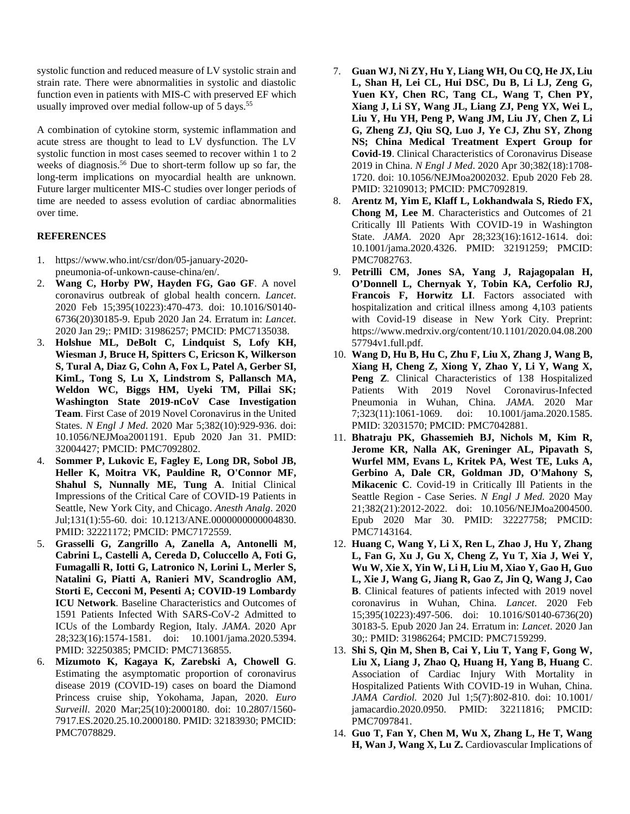systolic function and reduced measure of LV systolic strain and strain rate. There were abnormalities in systolic and diastolic function even in patients with MIS-C with preserved EF which usually improved over medial follow-up of 5 days.<sup>55</sup>

A combination of cytokine storm, systemic inflammation and acute stress are thought to lead to LV dysfunction. The LV systolic function in most cases seemed to recover within 1 to 2 weeks of diagnosis.<sup>56</sup> Due to short-term follow up so far, the long-term implications on myocardial health are unknown. Future larger multicenter MIS-C studies over longer periods of time are needed to assess evolution of cardiac abnormalities over time.

# **REFERENCES**

- 1. https://www.who.int/csr/don/05-january-2020 pneumonia-of-unkown-cause-china/en/.
- 2. **Wang C, Horby PW, Hayden FG, Gao GF**. A novel coronavirus outbreak of global health concern. *Lancet*. 2020 Feb 15;395(10223):470-473. doi: 10.1016/S0140- 6736(20)30185-9. Epub 2020 Jan 24. Erratum in: *Lancet*. 2020 Jan 29;: PMID: 31986257; PMCID: PMC7135038.
- 3. **Holshue ML, DeBolt C, Lindquist S, Lofy KH, Wiesman J, Bruce H, Spitters C, Ericson K, Wilkerson S, Tural A, Diaz G, Cohn A, Fox L, Patel A, Gerber SI, KimL, Tong S, Lu X, Lindstrom S, Pallansch MA, Weldon WC, Biggs HM, Uyeki TM, Pillai SK; Washington State 2019-nCoV Case Investigation Team**. First Case of 2019 Novel Coronavirus in the United States. *N Engl J Med*. 2020 Mar 5;382(10):929-936. doi: 10.1056/NEJMoa2001191. Epub 2020 Jan 31. PMID: 32004427; PMCID: PMC7092802.
- 4. **Sommer P, Lukovic E, Fagley E, Long DR, Sobol JB, Heller K, Moitra VK, Pauldine R, O'Connor MF, Shahul S, Nunnally ME, Tung A**. Initial Clinical Impressions of the Critical Care of COVID-19 Patients in Seattle, New York City, and Chicago. *Anesth Analg*. 2020 Jul;131(1):55-60. doi: 10.1213/ANE.0000000000004830. PMID: 32221172; PMCID: PMC7172559.
- 5. **Grasselli G, Zangrillo A, Zanella A, Antonelli M, Cabrini L, Castelli A, Cereda D, Coluccello A, Foti G, Fumagalli R, Iotti G, Latronico N, Lorini L, Merler S, Natalini G, Piatti A, Ranieri MV, Scandroglio AM, Storti E, Cecconi M, Pesenti A; COVID-19 Lombardy ICU Network**. Baseline Characteristics and Outcomes of 1591 Patients Infected With SARS-CoV-2 Admitted to ICUs of the Lombardy Region, Italy. *JAMA*. 2020 Apr 28;323(16):1574-1581. doi: 10.1001/jama.2020.5394. PMID: 32250385; PMCID: PMC7136855.
- 6. **Mizumoto K, Kagaya K, Zarebski A, Chowell G**. Estimating the asymptomatic proportion of coronavirus disease 2019 (COVID-19) cases on board the Diamond Princess cruise ship, Yokohama, Japan, 2020. *Euro Surveill*. 2020 Mar;25(10):2000180. doi: 10.2807/1560- 7917.ES.2020.25.10.2000180. PMID: 32183930; PMCID: PMC7078829.
- 7. **Guan WJ, Ni ZY, Hu Y, Liang WH, Ou CQ, He JX, Liu L, Shan H, Lei CL, Hui DSC, Du B, Li LJ, Zeng G, Yuen KY, Chen RC, Tang CL, Wang T, Chen PY, Xiang J, Li SY, Wang JL, Liang ZJ, Peng YX, Wei L, Liu Y, Hu YH, Peng P, Wang JM, Liu JY, Chen Z, Li G, Zheng ZJ, Qiu SQ, Luo J, Ye CJ, Zhu SY, Zhong NS; China Medical Treatment Expert Group for Covid-19**. Clinical Characteristics of Coronavirus Disease 2019 in China. *N Engl J Med*. 2020 Apr 30;382(18):1708- 1720. doi: 10.1056/NEJMoa2002032. Epub 2020 Feb 28. PMID: 32109013; PMCID: PMC7092819.
- 8. **Arentz M, Yim E, Klaff L, Lokhandwala S, Riedo FX, Chong M, Lee M**. Characteristics and Outcomes of 21 Critically Ill Patients With COVID-19 in Washington State. *JAMA*. 2020 Apr 28;323(16):1612-1614. doi: 10.1001/jama.2020.4326. PMID: 32191259; PMCID: PMC7082763.
- 9. **Petrilli CM, Jones SA, Yang J, Rajagopalan H, O'Donnell L, Chernyak Y, Tobin KA, Cerfolio RJ, Francois F, Horwitz LI**. Factors associated with hospitalization and critical illness among 4,103 patients with Covid-19 disease in New York City. Preprint: https://www.medrxiv.org/content/10.1101/2020.04.08.200 57794v1.full.pdf.
- 10. **Wang D, Hu B, Hu C, Zhu F, Liu X, Zhang J, Wang B, Xiang H, Cheng Z, Xiong Y, Zhao Y, Li Y, Wang X, Peng Z**. Clinical Characteristics of 138 Hospitalized Patients With 2019 Novel Coronavirus-Infected Pneumonia in Wuhan, China. *JAMA*. 2020 Mar 7;323(11):1061-1069. doi: 10.1001/jama.2020.1585. PMID: 32031570; PMCID: PMC7042881.
- 11. **Bhatraju PK, Ghassemieh BJ, Nichols M, Kim R, Jerome KR, Nalla AK, Greninger AL, Pipavath S, Wurfel MM, Evans L, Kritek PA, West TE, Luks A, Gerbino A, Dale CR, Goldman JD, O'Mahony S, Mikacenic C**. Covid-19 in Critically Ill Patients in the Seattle Region - Case Series. *N Engl J Med.* 2020 May 21;382(21):2012-2022. doi: 10.1056/NEJMoa2004500. Epub 2020 Mar 30. PMID: 32227758; PMCID: PMC7143164.
- 12. **Huang C, Wang Y, Li X, Ren L, Zhao J, Hu Y, Zhang L, Fan G, Xu J, Gu X, Cheng Z, Yu T, Xia J, Wei Y, Wu W, Xie X, Yin W, Li H, Liu M, Xiao Y, Gao H, Guo L, Xie J, Wang G, Jiang R, Gao Z, Jin Q, Wang J, Cao B**. Clinical features of patients infected with 2019 novel coronavirus in Wuhan, China. *Lancet*. 2020 Feb 15;395(10223):497-506. doi: 10.1016/S0140-6736(20) 30183-5. Epub 2020 Jan 24. Erratum in: *Lancet*. 2020 Jan 30;: PMID: 31986264; PMCID: PMC7159299.
- 13. **Shi S, Qin M, Shen B, Cai Y, Liu T, Yang F, Gong W, Liu X, Liang J, Zhao Q, Huang H, Yang B, Huang C**. Association of Cardiac Injury With Mortality in Hospitalized Patients With COVID-19 in Wuhan, China. *JAMA Cardiol.* 2020 Jul 1;5(7):802-810. doi: 10.1001/ jamacardio.2020.0950. PMID: 32211816; PMCID: PMC7097841.
- 14. **Guo T, Fan Y, Chen M, Wu X, Zhang L, He T, Wang H, Wan J, Wang X, Lu Z.** Cardiovascular Implications of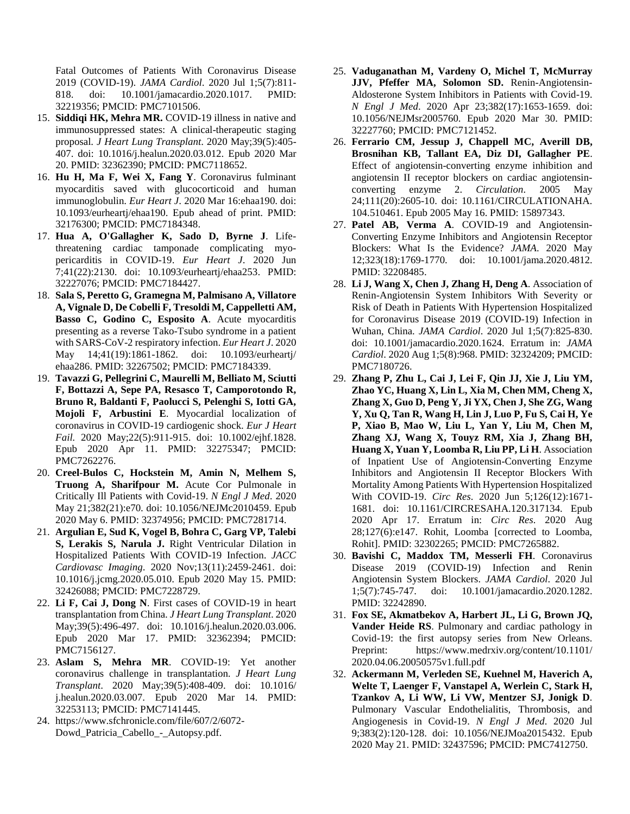Fatal Outcomes of Patients With Coronavirus Disease 2019 (COVID-19). *JAMA Cardiol*. 2020 Jul 1;5(7):811- 818. doi: 10.1001/jamacardio.2020.1017. PMID: 32219356; PMCID: PMC7101506.

- 15. **Siddiqi HK, Mehra MR.** COVID-19 illness in native and immunosuppressed states: A clinical-therapeutic staging proposal. *J Heart Lung Transplant*. 2020 May;39(5):405- 407. doi: 10.1016/j.healun.2020.03.012. Epub 2020 Mar 20. PMID: 32362390; PMCID: PMC7118652.
- 16. **Hu H, Ma F, Wei X, Fang Y**. Coronavirus fulminant myocarditis saved with glucocorticoid and human immunoglobulin. *Eur Heart J*. 2020 Mar 16:ehaa190. doi: 10.1093/eurheartj/ehaa190. Epub ahead of print. PMID: 32176300; PMCID: PMC7184348.
- 17. **Hua A, O'Gallagher K, Sado D, Byrne J**. Lifethreatening cardiac tamponade complicating myopericarditis in COVID-19. *Eur Heart J*. 2020 Jun 7;41(22):2130. doi: 10.1093/eurheartj/ehaa253. PMID: 32227076; PMCID: PMC7184427.
- 18. **Sala S, Peretto G, Gramegna M, Palmisano A, Villatore A, Vignale D, De Cobelli F, Tresoldi M, Cappelletti AM, Basso C, Godino C, Esposito A**. Acute myocarditis presenting as a reverse Tako-Tsubo syndrome in a patient with SARS-CoV-2 respiratory infection. *Eur Heart J*. 2020 May 14;41(19):1861-1862. doi: 10.1093/eurheartj/ ehaa286. PMID: 32267502; PMCID: PMC7184339.
- 19. **Tavazzi G, Pellegrini C, Maurelli M, Belliato M, Sciutti F, Bottazzi A, Sepe PA, Resasco T, Camporotondo R, Bruno R, Baldanti F, Paolucci S, Pelenghi S, Iotti GA, Mojoli F, Arbustini E**. Myocardial localization of coronavirus in COVID-19 cardiogenic shock. *Eur J Heart Fail.* 2020 May;22(5):911-915. doi: 10.1002/ejhf.1828. Epub 2020 Apr 11. PMID: 32275347; PMCID: PMC7262276.
- 20. **Creel-Bulos C, Hockstein M, Amin N, Melhem S, Truong A, Sharifpour M.** Acute Cor Pulmonale in Critically Ill Patients with Covid-19. *N Engl J Med*. 2020 May 21;382(21):e70. doi: 10.1056/NEJMc2010459. Epub 2020 May 6. PMID: 32374956; PMCID: PMC7281714.
- 21. **Argulian E, Sud K, Vogel B, Bohra C, Garg VP, Talebi S, Lerakis S, Narula J.** Right Ventricular Dilation in Hospitalized Patients With COVID-19 Infection. *JACC Cardiovasc Imaging*. 2020 Nov;13(11):2459-2461. doi: 10.1016/j.jcmg.2020.05.010. Epub 2020 May 15. PMID: 32426088; PMCID: PMC7228729.
- 22. **Li F, Cai J, Dong N**. First cases of COVID-19 in heart transplantation from China. *J Heart Lung Transplant*. 2020 May;39(5):496-497. doi: 10.1016/j.healun.2020.03.006. Epub 2020 Mar 17. PMID: 32362394; PMCID: PMC7156127.
- 23. **Aslam S, Mehra MR**. COVID-19: Yet another coronavirus challenge in transplantation. *J Heart Lung Transplant*. 2020 May;39(5):408-409. doi: 10.1016/ j.healun.2020.03.007. Epub 2020 Mar 14. PMID: 32253113; PMCID: PMC7141445.
- 24. https://www.sfchronicle.com/file/607/2/6072- Dowd\_Patricia\_Cabello\_-\_Autopsy.pdf.
- 25. **Vaduganathan M, Vardeny O, Michel T, McMurray JJV, Pfeffer MA, Solomon SD.** Renin-Angiotensin-Aldosterone System Inhibitors in Patients with Covid-19. *N Engl J Med*. 2020 Apr 23;382(17):1653-1659. doi: 10.1056/NEJMsr2005760. Epub 2020 Mar 30. PMID: 32227760; PMCID: PMC7121452.
- 26. **Ferrario CM, Jessup J, Chappell MC, Averill DB, Brosnihan KB, Tallant EA, Diz DI, Gallagher PE**. Effect of angiotensin-converting enzyme inhibition and angiotensin II receptor blockers on cardiac angiotensinconverting enzyme 2. *Circulation*. 2005 May 24;111(20):2605-10. doi: 10.1161/CIRCULATIONAHA. 104.510461. Epub 2005 May 16. PMID: 15897343.
- 27. **Patel AB, Verma A**. COVID-19 and Angiotensin-Converting Enzyme Inhibitors and Angiotensin Receptor Blockers: What Is the Evidence? *JAMA*. 2020 May 12;323(18):1769-1770. doi: 10.1001/jama.2020.4812. PMID: 32208485.
- 28. **Li J, Wang X, Chen J, Zhang H, Deng A**. Association of Renin-Angiotensin System Inhibitors With Severity or Risk of Death in Patients With Hypertension Hospitalized for Coronavirus Disease 2019 (COVID-19) Infection in Wuhan, China. *JAMA Cardiol*. 2020 Jul 1;5(7):825-830. doi: 10.1001/jamacardio.2020.1624. Erratum in: *JAMA Cardiol*. 2020 Aug 1;5(8):968. PMID: 32324209; PMCID: PMC7180726.
- 29. **Zhang P, Zhu L, Cai J, Lei F, Qin JJ, Xie J, Liu YM, Zhao YC, Huang X, Lin L, Xia M, Chen MM, Cheng X, Zhang X, Guo D, Peng Y, Ji YX, Chen J, She ZG, Wang Y, Xu Q, Tan R, Wang H, Lin J, Luo P, Fu S, Cai H, Ye P, Xiao B, Mao W, Liu L, Yan Y, Liu M, Chen M, Zhang XJ, Wang X, Touyz RM, Xia J, Zhang BH, Huang X, Yuan Y, Loomba R, Liu PP, Li H**. Association of Inpatient Use of Angiotensin-Converting Enzyme Inhibitors and Angiotensin II Receptor Blockers With Mortality Among Patients With Hypertension Hospitalized With COVID-19. *Circ Res*. 2020 Jun 5;126(12):1671- 1681. doi: 10.1161/CIRCRESAHA.120.317134. Epub 2020 Apr 17. Erratum in: *Circ Res*. 2020 Aug 28;127(6):e147. Rohit, Loomba [corrected to Loomba, Rohit]. PMID: 32302265; PMCID: PMC7265882.
- 30. **Bavishi C, Maddox TM, Messerli FH**. Coronavirus Disease 2019 (COVID-19) Infection and Renin Angiotensin System Blockers. *JAMA Cardiol*. 2020 Jul 1;5(7):745-747. doi: 10.1001/jamacardio.2020.1282. PMID: 32242890.
- 31. **Fox SE, Akmatbekov A, Harbert JL, Li G, Brown JQ, Vander Heide RS**. Pulmonary and cardiac pathology in Covid-19: the first autopsy series from New Orleans. Preprint: https://www.medrxiv.org/content/10.1101/ 2020.04.06.20050575v1.full.pdf
- 32. **Ackermann M, Verleden SE, Kuehnel M, Haverich A, Welte T, Laenger F, Vanstapel A, Werlein C, Stark H, Tzankov A, Li WW, Li VW, Mentzer SJ, Jonigk D**. Pulmonary Vascular Endothelialitis, Thrombosis, and Angiogenesis in Covid-19. *N Engl J Med*. 2020 Jul 9;383(2):120-128. doi: 10.1056/NEJMoa2015432. Epub 2020 May 21. PMID: 32437596; PMCID: PMC7412750.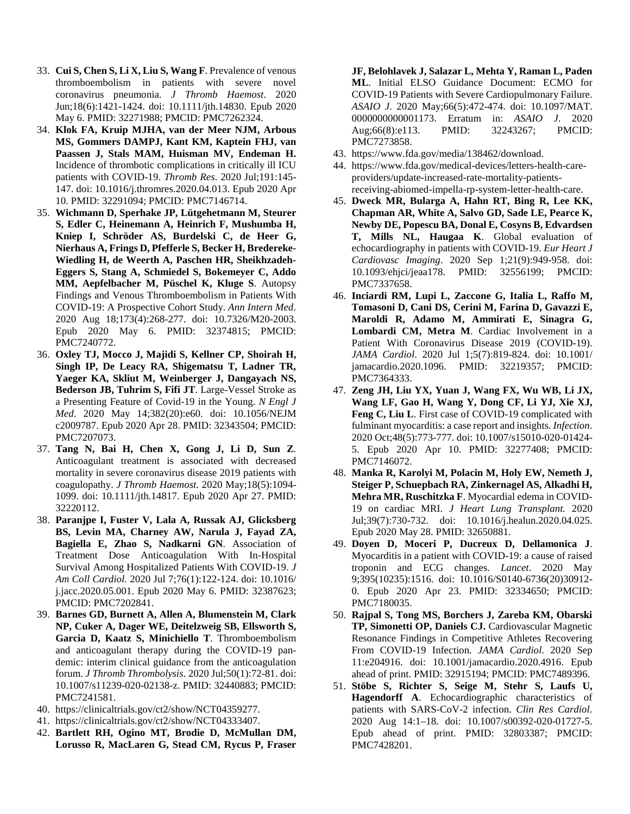- 33. **Cui S, Chen S, Li X, Liu S, Wang F**. Prevalence of venous thromboembolism in patients with severe novel coronavirus pneumonia. *J Thromb Haemost*. 2020 Jun;18(6):1421-1424. doi: 10.1111/jth.14830. Epub 2020 May 6. PMID: 32271988; PMCID: PMC7262324.
- 34. **Klok FA, Kruip MJHA, van der Meer NJM, Arbous MS, Gommers DAMPJ, Kant KM, Kaptein FHJ, van Paassen J, Stals MAM, Huisman MV, Endeman H.** Incidence of thrombotic complications in critically ill ICU patients with COVID-19. *Thromb Res*. 2020 Jul;191:145- 147. doi: 10.1016/j.thromres.2020.04.013. Epub 2020 Apr 10. PMID: 32291094; PMCID: PMC7146714.
- 35. **Wichmann D, Sperhake JP, Lütgehetmann M, Steurer S, Edler C, Heinemann A, Heinrich F, Mushumba H, Kniep I, Schröder AS, Burdelski C, de Heer G, Nierhaus A, Frings D, Pfefferle S, Becker H, Bredereke-Wiedling H, de Weerth A, Paschen HR, Sheikhzadeh-Eggers S, Stang A, Schmiedel S, Bokemeyer C, Addo MM, Aepfelbacher M, Püschel K, Kluge S**. Autopsy Findings and Venous Thromboembolism in Patients With COVID-19: A Prospective Cohort Study. *Ann Intern Med*. 2020 Aug 18;173(4):268-277. doi: 10.7326/M20-2003. Epub 2020 May 6. PMID: 32374815; PMCID: PMC7240772.
- 36. **Oxley TJ, Mocco J, Majidi S, Kellner CP, Shoirah H, Singh IP, De Leacy RA, Shigematsu T, Ladner TR, Yaeger KA, Skliut M, Weinberger J, Dangayach NS, Bederson JB, Tuhrim S, Fifi JT**. Large-Vessel Stroke as a Presenting Feature of Covid-19 in the Young. *N Engl J Med*. 2020 May 14;382(20):e60. doi: 10.1056/NEJM c2009787. Epub 2020 Apr 28. PMID: 32343504; PMCID: PMC7207073.
- 37. **Tang N, Bai H, Chen X, Gong J, Li D, Sun Z**. Anticoagulant treatment is associated with decreased mortality in severe coronavirus disease 2019 patients with coagulopathy. *J Thromb Haemost*. 2020 May;18(5):1094- 1099. doi: 10.1111/jth.14817. Epub 2020 Apr 27. PMID: 32220112.
- 38. **Paranjpe I, Fuster V, Lala A, Russak AJ, Glicksberg BS, Levin MA, Charney AW, Narula J, Fayad ZA, Bagiella E, Zhao S, Nadkarni GN**. Association of Treatment Dose Anticoagulation With In-Hospital Survival Among Hospitalized Patients With COVID-19. *J Am Coll Cardiol.* 2020 Jul 7;76(1):122-124. doi: 10.1016/ j.jacc.2020.05.001. Epub 2020 May 6. PMID: 32387623; PMCID: PMC7202841.
- 39. **Barnes GD, Burnett A, Allen A, Blumenstein M, Clark NP, Cuker A, Dager WE, Deitelzweig SB, Ellsworth S, Garcia D, Kaatz S, Minichiello T**. Thromboembolism and anticoagulant therapy during the COVID-19 pandemic: interim clinical guidance from the anticoagulation forum. *J Thromb Thrombolysis*. 2020 Jul;50(1):72-81. doi: 10.1007/s11239-020-02138-z. PMID: 32440883; PMCID: PMC7241581.
- 40. https://clinicaltrials.gov/ct2/show/NCT04359277.
- 41. https://clinicaltrials.gov/ct2/show/NCT04333407.
- 42. **Bartlett RH, Ogino MT, Brodie D, McMullan DM, Lorusso R, MacLaren G, Stead CM, Rycus P, Fraser**

**JF, Belohlavek J, Salazar L, Mehta Y, Raman L, Paden ML**. Initial ELSO Guidance Document: ECMO for COVID-19 Patients with Severe Cardiopulmonary Failure. *ASAIO J*. 2020 May;66(5):472-474. doi: 10.1097/MAT. 0000000000001173. Erratum in: *ASAIO J*. 2020 Aug;66(8):e113. PMID: 32243267; PMCID: PMC7273858.

- 43. https://www.fda.gov/media/138462/download.
- 44. https://www.fda.gov/medical-devices/letters-health-careproviders/update-increased-rate-mortality-patientsreceiving-abiomed-impella-rp-system-letter-health-care.
- 45. **Dweck MR, Bularga A, Hahn RT, Bing R, Lee KK, Chapman AR, White A, Salvo GD, Sade LE, Pearce K, Newby DE, Popescu BA, Donal E, Cosyns B, Edvardsen T, Mills NL, Haugaa K**. Global evaluation of echocardiography in patients with COVID-19. *Eur Heart J Cardiovasc Imaging*. 2020 Sep 1;21(9):949-958. doi: 10.1093/ehjci/jeaa178. PMID: 32556199; PMCID: PMC7337658.
- 46. **Inciardi RM, Lupi L, Zaccone G, Italia L, Raffo M, Tomasoni D, Cani DS, Cerini M, Farina D, Gavazzi E, Maroldi R, Adamo M, Ammirati E, Sinagra G, Lombardi CM, Metra M**. Cardiac Involvement in a Patient With Coronavirus Disease 2019 (COVID-19). *JAMA Cardiol*. 2020 Jul 1;5(7):819-824. doi: 10.1001/ jamacardio.2020.1096. PMID: 32219357; PMCID: PMC7364333.
- 47. **Zeng JH, Liu YX, Yuan J, Wang FX, Wu WB, Li JX, Wang LF, Gao H, Wang Y, Dong CF, Li YJ, Xie XJ, Feng C, Liu L**. First case of COVID-19 complicated with fulminant myocarditis: a case report and insights. *Infection*. 2020 Oct;48(5):773-777. doi: 10.1007/s15010-020-01424- 5. Epub 2020 Apr 10. PMID: 32277408; PMCID: PMC7146072.
- 48. **Manka R, Karolyi M, Polacin M, Holy EW, Nemeth J, Steiger P, Schuepbach RA, Zinkernagel AS, Alkadhi H, Mehra MR, Ruschitzka F**. Myocardial edema in COVID-19 on cardiac MRI. *J Heart Lung Transplant.* 2020 Jul;39(7):730-732. doi: 10.1016/j.healun.2020.04.025. Epub 2020 May 28. PMID: 32650881.
- 49. **Doyen D, Moceri P, Ducreux D, Dellamonica J**. Myocarditis in a patient with COVID-19: a cause of raised troponin and ECG changes. *Lancet*. 2020 May 9;395(10235):1516. doi: 10.1016/S0140-6736(20)30912- 0. Epub 2020 Apr 23. PMID: 32334650; PMCID: PMC7180035.
- 50. **Rajpal S, Tong MS, Borchers J, Zareba KM, Obarski TP, Simonetti OP, Daniels CJ.** Cardiovascular Magnetic Resonance Findings in Competitive Athletes Recovering From COVID-19 Infection. *JAMA Cardiol*. 2020 Sep 11:e204916. doi: 10.1001/jamacardio.2020.4916. Epub ahead of print. PMID: 32915194; PMCID: PMC7489396.
- 51. **Stöbe S, Richter S, Seige M, Stehr S, Laufs U, Hagendorff A**. Echocardiographic characteristics of patients with SARS-CoV-2 infection. *Clin Res Cardiol*. 2020 Aug 14:1–18. doi: 10.1007/s00392-020-01727-5. Epub ahead of print. PMID: 32803387; PMCID: PMC7428201.